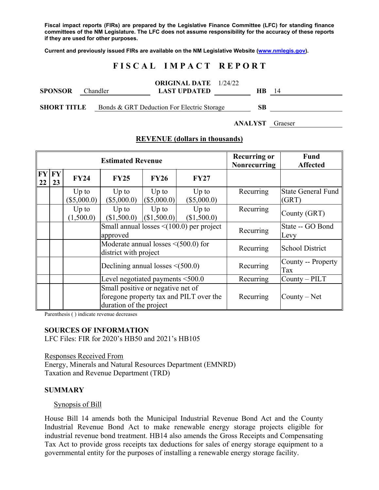**Fiscal impact reports (FIRs) are prepared by the Legislative Finance Committee (LFC) for standing finance committees of the NM Legislature. The LFC does not assume responsibility for the accuracy of these reports if they are used for other purposes.** 

**Current and previously issued FIRs are available on the NM Legislative Website (www.nmlegis.gov).** 

# **F I S C A L I M P A C T R E P O R T**

| <b>SPONSOR</b>     | Chandler | <b>ORIGINAL DATE</b> 1/24/22<br><b>LAST UPDATED</b> | <b>HB</b> | 14      |
|--------------------|----------|-----------------------------------------------------|-----------|---------|
| <b>SHORT TITLE</b> |          | Bonds & GRT Deduction For Electric Storage          | <b>SB</b> |         |
|                    |          |                                                     | ANALYST   | Graeser |

| <b>Estimated Revenue</b> |          |                          |                                                                    |                        |                                                | <b>Recurring or</b><br><b>Nonrecurring</b> | <b>Fund</b><br><b>Affected</b>     |
|--------------------------|----------|--------------------------|--------------------------------------------------------------------|------------------------|------------------------------------------------|--------------------------------------------|------------------------------------|
| FY<br>22                 | FY<br>23 | <b>FY24</b>              | FY25                                                               | <b>FY26</b>            | <b>FY27</b>                                    |                                            |                                    |
|                          |          | $Up$ to<br>$(\$5,000.0)$ | $Up$ to<br>(\$5,000.0)                                             | $Up$ to<br>(\$5,000.0) | $Up$ to<br>(\$5,000.0)                         | Recurring                                  | <b>State General Fund</b><br>(GRT) |
|                          |          | $Up$ to<br>(1,500.0)     | $Up$ to<br>(\$1,500.0)                                             | Up to<br>(S1,500.0)    | $Up$ to<br>(\$1,500.0)                         | Recurring                                  | County (GRT)                       |
|                          |          |                          | approved                                                           |                        | Small annual losses $\leq$ (100.0) per project | Recurring                                  | State -- GO Bond<br>Levy           |
|                          |          |                          | Moderate annual losses $\leq$ (500.0) for<br>district with project |                        |                                                | Recurring                                  | <b>School District</b>             |
|                          |          |                          | Declining annual losses $\leq$ (500.0)                             |                        |                                                | Recurring                                  | County -- Property<br>Tax          |
|                          |          |                          | Level negotiated payments $\leq 500.0$                             |                        |                                                | Recurring                                  | $Country - PILT$                   |
|                          |          |                          | Small positive or negative net of<br>duration of the project       |                        | foregone property tax and PILT over the        | Recurring                                  | $County - Net$                     |

#### **REVENUE (dollars in thousands)**

Parenthesis ( ) indicate revenue decreases

#### **SOURCES OF INFORMATION**

LFC Files: FIR for 2020's HB50 and 2021's HB105

Responses Received From Energy, Minerals and Natural Resources Department (EMNRD) Taxation and Revenue Department (TRD)

#### **SUMMARY**

Synopsis of Bill

House Bill 14 amends both the Municipal Industrial Revenue Bond Act and the County Industrial Revenue Bond Act to make renewable energy storage projects eligible for industrial revenue bond treatment. HB14 also amends the Gross Receipts and Compensating Tax Act to provide gross receipts tax deductions for sales of energy storage equipment to a governmental entity for the purposes of installing a renewable energy storage facility.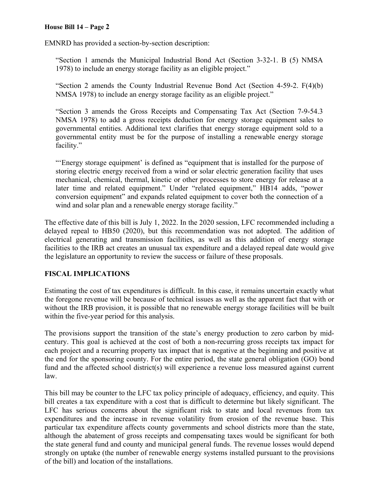EMNRD has provided a section-by-section description:

"Section 1 amends the Municipal Industrial Bond Act (Section 3-32-1. B (5) NMSA 1978) to include an energy storage facility as an eligible project."

"Section 2 amends the County Industrial Revenue Bond Act (Section 4-59-2. F(4)(b) NMSA 1978) to include an energy storage facility as an eligible project."

"Section 3 amends the Gross Receipts and Compensating Tax Act (Section 7-9-54.3 NMSA 1978) to add a gross receipts deduction for energy storage equipment sales to governmental entities. Additional text clarifies that energy storage equipment sold to a governmental entity must be for the purpose of installing a renewable energy storage facility."

"'Energy storage equipment' is defined as "equipment that is installed for the purpose of storing electric energy received from a wind or solar electric generation facility that uses mechanical, chemical, thermal, kinetic or other processes to store energy for release at a later time and related equipment." Under "related equipment," HB14 adds, "power conversion equipment" and expands related equipment to cover both the connection of a wind and solar plan and a renewable energy storage facility."

The effective date of this bill is July 1, 2022. In the 2020 session, LFC recommended including a delayed repeal to HB50 (2020), but this recommendation was not adopted. The addition of electrical generating and transmission facilities, as well as this addition of energy storage facilities to the IRB act creates an unusual tax expenditure and a delayed repeal date would give the legislature an opportunity to review the success or failure of these proposals.

# **FISCAL IMPLICATIONS**

Estimating the cost of tax expenditures is difficult. In this case, it remains uncertain exactly what the foregone revenue will be because of technical issues as well as the apparent fact that with or without the IRB provision, it is possible that no renewable energy storage facilities will be built within the five-year period for this analysis.

The provisions support the transition of the state's energy production to zero carbon by midcentury. This goal is achieved at the cost of both a non-recurring gross receipts tax impact for each project and a recurring property tax impact that is negative at the beginning and positive at the end for the sponsoring county. For the entire period, the state general obligation (GO) bond fund and the affected school district(s) will experience a revenue loss measured against current law.

This bill may be counter to the LFC tax policy principle of adequacy, efficiency, and equity. This bill creates a tax expenditure with a cost that is difficult to determine but likely significant. The LFC has serious concerns about the significant risk to state and local revenues from tax expenditures and the increase in revenue volatility from erosion of the revenue base. This particular tax expenditure affects county governments and school districts more than the state, although the abatement of gross receipts and compensating taxes would be significant for both the state general fund and county and municipal general funds. The revenue losses would depend strongly on uptake (the number of renewable energy systems installed pursuant to the provisions of the bill) and location of the installations.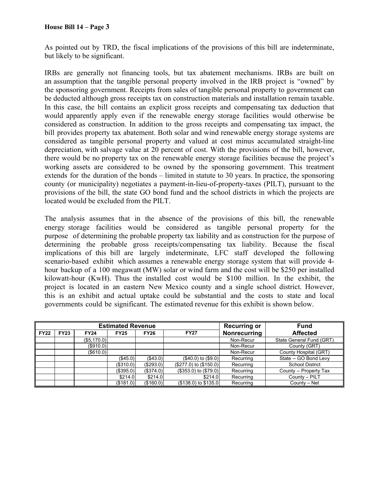As pointed out by TRD, the fiscal implications of the provisions of this bill are indeterminate, but likely to be significant.

IRBs are generally not financing tools, but tax abatement mechanisms. IRBs are built on an assumption that the tangible personal property involved in the IRB project is "owned" by the sponsoring government. Receipts from sales of tangible personal property to government can be deducted although gross receipts tax on construction materials and installation remain taxable. In this case, the bill contains an explicit gross receipts and compensating tax deduction that would apparently apply even if the renewable energy storage facilities would otherwise be considered as construction. In addition to the gross receipts and compensating tax impact, the bill provides property tax abatement. Both solar and wind renewable energy storage systems are considered as tangible personal property and valued at cost minus accumulated straight-line depreciation, with salvage value at 20 percent of cost. With the provisions of the bill, however, there would be no property tax on the renewable energy storage facilities because the project's working assets are considered to be owned by the sponsoring government. This treatment extends for the duration of the bonds – limited in statute to 30 years. In practice, the sponsoring county (or municipality) negotiates a payment-in-lieu-of-property-taxes (PILT), pursuant to the provisions of the bill, the state GO bond fund and the school districts in which the projects are located would be excluded from the PILT.

The analysis assumes that in the absence of the provisions of this bill, the renewable energy storage facilities would be considered as tangible personal property for the purpose of determining the probable property tax liability and as construction for the purpose of determining the probable gross receipts/compensating tax liability. Because the fiscal implications of this bill are largely indeterminate, LFC staff developed the following scenario-based exhibit which assumes a renewable energy storage system that will provide 4 hour backup of a 100 megawatt (MW) solar or wind farm and the cost will be \$250 per installed kilowatt-hour (KwH). Thus the installed cost would be \$100 million. In the exhibit, the project is located in an eastern New Mexico county and a single school district. However, this is an exhibit and actual uptake could be substantial and the costs to state and local governments could be significant. The estimated revenue for this exhibit is shown below.

| <b>Estimated Revenue</b> |             |                  |                  |             |                         | <b>Recurring or</b> | <b>Fund</b>              |
|--------------------------|-------------|------------------|------------------|-------------|-------------------------|---------------------|--------------------------|
| <b>FY22</b>              | <b>FY23</b> | <b>FY24</b>      | <b>FY25</b>      | <b>FY26</b> | <b>FY27</b>             | Nonrecurring        | <b>Affected</b>          |
|                          |             | (\$5,170.0)      |                  |             |                         | Non-Recur           | State General Fund (GRT) |
|                          |             | $($ \$910.0) $ $ |                  |             |                         | Non-Recur           | County (GRT)             |
|                          |             | $($ \$610.0) $ $ |                  |             |                         | Non-Recur           | County Hospital (GRT)    |
|                          |             |                  | (\$45.0)         | (\$43.0)    | $($40.0)$ to $($9.0)$   | Recurring           | State -- GO Bond Levy    |
|                          |             |                  | (\$310.0)        | (\$293.0)   | (\$277.0) to (\$150.0)  | Recurring           | <b>School District</b>   |
|                          |             |                  | $($ \$395.0) $ $ | (\$374.0)   | $($353.0)$ to $($79.0)$ | Recurring           | County -- Property Tax   |
|                          |             |                  | \$214.0          | \$214.0     | \$214.0                 | Recurring           | County - PILT            |
|                          |             |                  | (\$181.0)        | (\$160.0)   | $($138.0)$ to $$135.0$  | Recurring           | County - Net             |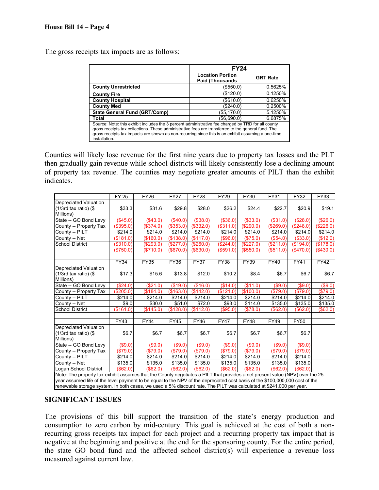The gross receipts tax impacts are as follows:

|                                                                                                                                                                                                                                                                                                                                 | <b>FY24</b>                                        |                 |  |  |  |
|---------------------------------------------------------------------------------------------------------------------------------------------------------------------------------------------------------------------------------------------------------------------------------------------------------------------------------|----------------------------------------------------|-----------------|--|--|--|
|                                                                                                                                                                                                                                                                                                                                 | <b>Location Portion</b><br><b>Paid (Thousands)</b> | <b>GRT Rate</b> |  |  |  |
| <b>County Unrestricted</b>                                                                                                                                                                                                                                                                                                      | (\$550.0)                                          | 0.5625%         |  |  |  |
| <b>County Fire</b>                                                                                                                                                                                                                                                                                                              | (\$120.0)                                          | 0.1250%         |  |  |  |
| <b>County Hospital</b>                                                                                                                                                                                                                                                                                                          | (\$610.0)                                          | 0.6250%         |  |  |  |
| <b>County Med</b>                                                                                                                                                                                                                                                                                                               | (\$240.0)                                          | 0.2500%         |  |  |  |
| <b>State General Fund (GRT/Comp)</b>                                                                                                                                                                                                                                                                                            | (\$5,170.0)                                        | 5.1250%         |  |  |  |
| Total                                                                                                                                                                                                                                                                                                                           | (\$6,690.0)                                        | 6.6875%         |  |  |  |
| Source: Note: this exhibit includes the 3 percent administrative fee charged by TRD for all county<br>gross receipts tax collections. These administrative fees are transferred to the general fund. The<br>gross receipts tax impacts are shown as non-recurring since this is an exhibit assuming a one-time<br>installation. |                                                    |                 |  |  |  |

Counties will likely lose revenue for the first nine years due to property tax losses and the PLT then gradually gain revenue while school districts will likely consistently lose a declining amount of property tax revenue. The counties may negotiate greater amounts of PILT than the exhibit indicates.

|                                                                                                                                                                                                                                                                                                                                                                                      | <b>FY 25</b> | <b>FY26</b> | <b>FY27</b> | <b>FY28</b> | <b>FY29</b> | <b>FY30</b> | <b>FY31</b> | <b>FY32</b> | <b>FY33</b> |
|--------------------------------------------------------------------------------------------------------------------------------------------------------------------------------------------------------------------------------------------------------------------------------------------------------------------------------------------------------------------------------------|--------------|-------------|-------------|-------------|-------------|-------------|-------------|-------------|-------------|
| <b>Depreciated Valuation</b><br>$(1/3rd$ tax ratio) $($<br>Millions)                                                                                                                                                                                                                                                                                                                 | \$33.3       | \$31.6      | \$29.8      | \$28.0      | \$26.2      | \$24.4      | \$22.7      | \$20.9      | \$19.1      |
| State -- GO Bond Levy                                                                                                                                                                                                                                                                                                                                                                | (S45.0)      | ( \$43.0)   | (\$40.0)    | ( \$38.0)   | ( \$36.0)   | (\$33.0)    | (\$31.0)    | (\$28.0)    | (\$26.0)    |
| County -- Property Tax                                                                                                                                                                                                                                                                                                                                                               | (\$395.0)    | (\$374.0)   | (\$353.0)   | (\$332.0)   | (\$311.0)   | (\$290.0)   | (\$269.0)   | (\$248.0)   | (\$226.0)   |
| County -- PILT                                                                                                                                                                                                                                                                                                                                                                       | \$214.0      | \$214.0     | \$214.0     | \$214.0     | \$214.0     | \$214.0     | \$214.0     | \$214.0     | \$214.0     |
| County -- Net                                                                                                                                                                                                                                                                                                                                                                        | (\$181.0)    | (\$160.0)   | (\$138.0)   | (\$117.0)   | $($ \$96.0) | (\$75.0)    | (\$54.0)    | ( \$33.0)   | (\$12.0)    |
| <b>School District</b>                                                                                                                                                                                                                                                                                                                                                               | (S310.0)     | (S293.0)    | (\$277.0)   | ( \$260.0)  | (S244.0)    | (\$227.0)   | (S211.0)    | (\$194.0)   | (\$178.0)   |
|                                                                                                                                                                                                                                                                                                                                                                                      | (\$750.0)    | (\$710.0)   | (\$670.0)   | (\$630.0)   | (\$591.0)   | (\$550.0)   | (\$511.0)   | (\$470.0)   | (\$430.0)   |
|                                                                                                                                                                                                                                                                                                                                                                                      |              |             |             |             |             |             |             |             |             |
|                                                                                                                                                                                                                                                                                                                                                                                      | <b>FY34</b>  | <b>FY35</b> | <b>FY36</b> | <b>FY37</b> | <b>FY38</b> | <b>FY39</b> | <b>FY40</b> | <b>FY41</b> | <b>FY42</b> |
| <b>Depreciated Valuation</b><br>$(1/3rd$ tax ratio) $($<br>Millions)                                                                                                                                                                                                                                                                                                                 | \$17.3       | \$15.6      | \$13.8      | \$12.0      | \$10.2      | \$8.4       | \$6.7       | \$6.7       | \$6.7       |
| State -- GO Bond Levy                                                                                                                                                                                                                                                                                                                                                                | (\$24.0)     | (\$21.0)    | (\$19.0)    | (\$16.0)    | (\$14.0)    | (\$11.0)    | (\$9.0)     | (\$9.0)     | (\$9.0)     |
| County -- Property Tax                                                                                                                                                                                                                                                                                                                                                               | (\$205.0)    | (\$184.0)   | (\$163.0)   | (\$142.0)   | (\$121.0)   | (\$100.0)   | (\$79.0)    | (\$79.0)    | (\$79.0)    |
| County -- PILT                                                                                                                                                                                                                                                                                                                                                                       | \$214.0      | \$214.0     | \$214.0     | \$214.0     | \$214.0     | \$214.0     | \$214.0     | \$214.0     | \$214.0     |
| County -- Net                                                                                                                                                                                                                                                                                                                                                                        | \$9.0        | \$30.0      | \$51.0      | \$72.0      | \$93.0      | \$114.0     | \$135.0     | \$135.0     | \$135.0     |
| <b>School District</b>                                                                                                                                                                                                                                                                                                                                                               | (\$161.0)    | (\$145.0)   | (\$128.0)   | (\$112.0)   | (\$95.0)    | (\$78.0)    | $($ \$62.0) | (\$62.0)    | (\$62.0)    |
|                                                                                                                                                                                                                                                                                                                                                                                      |              |             |             |             |             |             |             |             |             |
|                                                                                                                                                                                                                                                                                                                                                                                      | <b>FY43</b>  | <b>FY44</b> | <b>FY45</b> | <b>FY46</b> | <b>FY47</b> | <b>FY48</b> | <b>FY49</b> | <b>FY50</b> |             |
| <b>Depreciated Valuation</b><br>$(1/3rd$ tax ratio) $(\$$<br>Millions)                                                                                                                                                                                                                                                                                                               | \$6.7        | \$6.7       | \$6.7       | \$6.7       | \$6.7       | \$6.7       | \$6.7       | \$6.7       |             |
| State -- GO Bond Levy                                                                                                                                                                                                                                                                                                                                                                | (\$9.0)      | (\$9.0)     | ( \$9.0)    | ( \$9.0)    | ( \$9.0)    | (\$9.0)     | (\$9.0)     | ( \$9.0)    |             |
| County -- Property Tax                                                                                                                                                                                                                                                                                                                                                               | (\$79.0)     | (\$79.0)    | (\$79.0)    | (\$79.0)    | (\$79.0)    | (\$79.0)    | (\$79.0)    | (\$79.0)    |             |
| County -- PILT                                                                                                                                                                                                                                                                                                                                                                       | \$214.0      | \$214.0     | \$214.0     | \$214.0     | \$214.0     | \$214.0     | \$214.0     | \$214.0     |             |
| County -- Net                                                                                                                                                                                                                                                                                                                                                                        | \$135.0      | \$135.0     | \$135.0     | \$135.0     | \$135.0     | \$135.0     | \$135.0     | \$135.0     |             |
| Logan School District<br>(\$62.0)<br>(\$62.0)<br>(\$62.0)<br>$($ \$62.0)<br>$($ \$62.0)<br>(\$62.0)<br>$($ \$62.0)<br>(S62.0)                                                                                                                                                                                                                                                        |              |             |             |             |             |             |             |             |             |
| Note: The property tax exhibit assumes that the County negotiates a PILT that provides a net present value (NPV) over the 25-<br>year assumed life of the level payment to be equal to the NPV of the depreciated cost basis of the \$100,000,000 cost of the<br>renewable storage system. In both cases, we used a 5% discount rate. The PILT was calculated at \$241,000 per year. |              |             |             |             |             |             |             |             |             |

# **SIGNIFICANT ISSUES**

The provisions of this bill support the transition of the state's energy production and consumption to zero carbon by mid-century. This goal is achieved at the cost of both a nonrecurring gross receipts tax impact for each project and a recurring property tax impact that is negative at the beginning and positive at the end for the sponsoring county. For the entire period, the state GO bond fund and the affected school district(s) will experience a revenue loss measured against current law.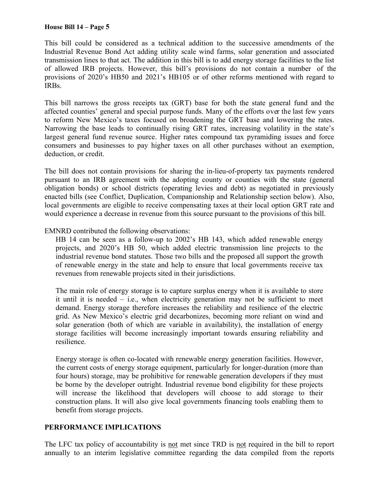This bill could be considered as a technical addition to the successive amendments of the Industrial Revenue Bond Act adding utility scale wind farms, solar generation and associated transmission lines to that act. The addition in this bill is to add energy storage facilities to the list of allowed IRB projects. However, this bill's provisions do not contain a number of the provisions of 2020's HB50 and 2021's HB105 or of other reforms mentioned with regard to IRBs.

This bill narrows the gross receipts tax (GRT) base for both the state general fund and the affected counties' general and special purpose funds. Many of the efforts over the last few years to reform New Mexico's taxes focused on broadening the GRT base and lowering the rates. Narrowing the base leads to continually rising GRT rates, increasing volatility in the state's largest general fund revenue source. Higher rates compound tax pyramiding issues and force consumers and businesses to pay higher taxes on all other purchases without an exemption, deduction, or credit.

The bill does not contain provisions for sharing the in-lieu-of-property tax payments rendered pursuant to an IRB agreement with the adopting county or counties with the state (general obligation bonds) or school districts (operating levies and debt) as negotiated in previously enacted bills (see Conflict, Duplication, Companionship and Relationship section below). Also, local governments are eligible to receive compensating taxes at their local option GRT rate and would experience a decrease in revenue from this source pursuant to the provisions of this bill.

### EMNRD contributed the following observations:

HB 14 can be seen as a follow-up to 2002's HB 143, which added renewable energy projects, and 2020's HB 50, which added electric transmission line projects to the industrial revenue bond statutes. Those two bills and the proposed all support the growth of renewable energy in the state and help to ensure that local governments receive tax revenues from renewable projects sited in their jurisdictions.

The main role of energy storage is to capture surplus energy when it is available to store it until it is needed – i.e., when electricity generation may not be sufficient to meet demand. Energy storage therefore increases the reliability and resilience of the electric grid. As New Mexico's electric grid decarbonizes, becoming more reliant on wind and solar generation (both of which are variable in availability), the installation of energy storage facilities will become increasingly important towards ensuring reliability and resilience.

Energy storage is often co-located with renewable energy generation facilities. However, the current costs of energy storage equipment, particularly for longer-duration (more than four hours) storage, may be prohibitive for renewable generation developers if they must be borne by the developer outright. Industrial revenue bond eligibility for these projects will increase the likelihood that developers will choose to add storage to their construction plans. It will also give local governments financing tools enabling them to benefit from storage projects.

### **PERFORMANCE IMPLICATIONS**

The LFC tax policy of accountability is not met since TRD is not required in the bill to report annually to an interim legislative committee regarding the data compiled from the reports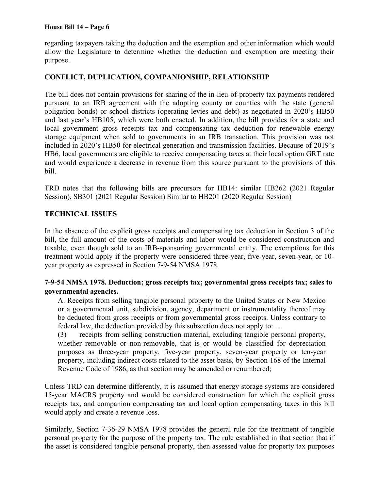regarding taxpayers taking the deduction and the exemption and other information which would allow the Legislature to determine whether the deduction and exemption are meeting their purpose.

# **CONFLICT, DUPLICATION, COMPANIONSHIP, RELATIONSHIP**

The bill does not contain provisions for sharing of the in-lieu-of-property tax payments rendered pursuant to an IRB agreement with the adopting county or counties with the state (general obligation bonds) or school districts (operating levies and debt) as negotiated in 2020's HB50 and last year's HB105, which were both enacted. In addition, the bill provides for a state and local government gross receipts tax and compensating tax deduction for renewable energy storage equipment when sold to governments in an IRB transaction. This provision was not included in 2020's HB50 for electrical generation and transmission facilities. Because of 2019's HB6, local governments are eligible to receive compensating taxes at their local option GRT rate and would experience a decrease in revenue from this source pursuant to the provisions of this bill.

TRD notes that the following bills are precursors for HB14: similar HB262 (2021 Regular Session), SB301 (2021 Regular Session) Similar to HB201 (2020 Regular Session)

### **TECHNICAL ISSUES**

In the absence of the explicit gross receipts and compensating tax deduction in Section 3 of the bill, the full amount of the costs of materials and labor would be considered construction and taxable, even though sold to an IRB-sponsoring governmental entity. The exemptions for this treatment would apply if the property were considered three-year, five-year, seven-year, or 10 year property as expressed in Section 7-9-54 NMSA 1978.

# **7-9-54 NMSA 1978. Deduction; gross receipts tax; governmental gross receipts tax; sales to governmental agencies.**

A. Receipts from selling tangible personal property to the United States or New Mexico or a governmental unit, subdivision, agency, department or instrumentality thereof may be deducted from gross receipts or from governmental gross receipts. Unless contrary to federal law, the deduction provided by this subsection does not apply to: …

(3) receipts from selling construction material, excluding tangible personal property, whether removable or non-removable, that is or would be classified for depreciation purposes as three-year property, five-year property, seven-year property or ten-year property, including indirect costs related to the asset basis, by Section 168 of the Internal Revenue Code of 1986, as that section may be amended or renumbered;

Unless TRD can determine differently, it is assumed that energy storage systems are considered 15-year MACRS property and would be considered construction for which the explicit gross receipts tax, and companion compensating tax and local option compensating taxes in this bill would apply and create a revenue loss.

Similarly, Section 7-36-29 NMSA 1978 provides the general rule for the treatment of tangible personal property for the purpose of the property tax. The rule established in that section that if the asset is considered tangible personal property, then assessed value for property tax purposes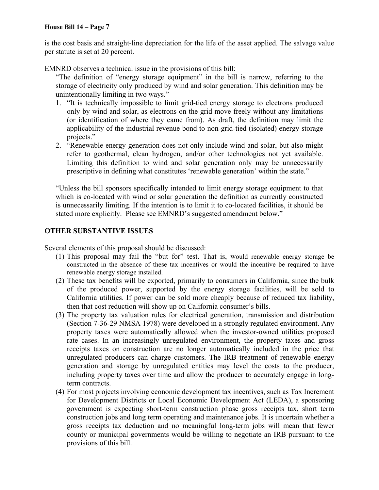is the cost basis and straight-line depreciation for the life of the asset applied. The salvage value per statute is set at 20 percent.

EMNRD observes a technical issue in the provisions of this bill:

"The definition of "energy storage equipment" in the bill is narrow, referring to the storage of electricity only produced by wind and solar generation. This definition may be unintentionally limiting in two ways."

- 1. "It is technically impossible to limit grid-tied energy storage to electrons produced only by wind and solar, as electrons on the grid move freely without any limitations (or identification of where they came from). As draft, the definition may limit the applicability of the industrial revenue bond to non-grid-tied (isolated) energy storage projects."
- 2. "Renewable energy generation does not only include wind and solar, but also might refer to geothermal, clean hydrogen, and/or other technologies not yet available. Limiting this definition to wind and solar generation only may be unnecessarily prescriptive in defining what constitutes 'renewable generation' within the state."

"Unless the bill sponsors specifically intended to limit energy storage equipment to that which is co-located with wind or solar generation the definition as currently constructed is unnecessarily limiting. If the intention is to limit it to co-located facilities, it should be stated more explicitly. Please see EMNRD's suggested amendment below."

# **OTHER SUBSTANTIVE ISSUES**

Several elements of this proposal should be discussed:

- (1) This proposal may fail the "but for" test. That is, would renewable energy storage be constructed in the absence of these tax incentives or would the incentive be required to have renewable energy storage installed.
- (2) These tax benefits will be exported, primarily to consumers in California, since the bulk of the produced power, supported by the energy storage facilities, will be sold to California utilities. If power can be sold more cheaply because of reduced tax liability, then that cost reduction will show up on California consumer's bills.
- (3) The property tax valuation rules for electrical generation, transmission and distribution (Section 7-36-29 NMSA 1978) were developed in a strongly regulated environment. Any property taxes were automatically allowed when the investor-owned utilities proposed rate cases. In an increasingly unregulated environment, the property taxes and gross receipts taxes on construction are no longer automatically included in the price that unregulated producers can charge customers. The IRB treatment of renewable energy generation and storage by unregulated entities may level the costs to the producer, including property taxes over time and allow the producer to accurately engage in longterm contracts.
- (4) For most projects involving economic development tax incentives, such as Tax Increment for Development Districts or Local Economic Development Act (LEDA), a sponsoring government is expecting short-term construction phase gross receipts tax, short term construction jobs and long term operating and maintenance jobs. It is uncertain whether a gross receipts tax deduction and no meaningful long-term jobs will mean that fewer county or municipal governments would be willing to negotiate an IRB pursuant to the provisions of this bill.